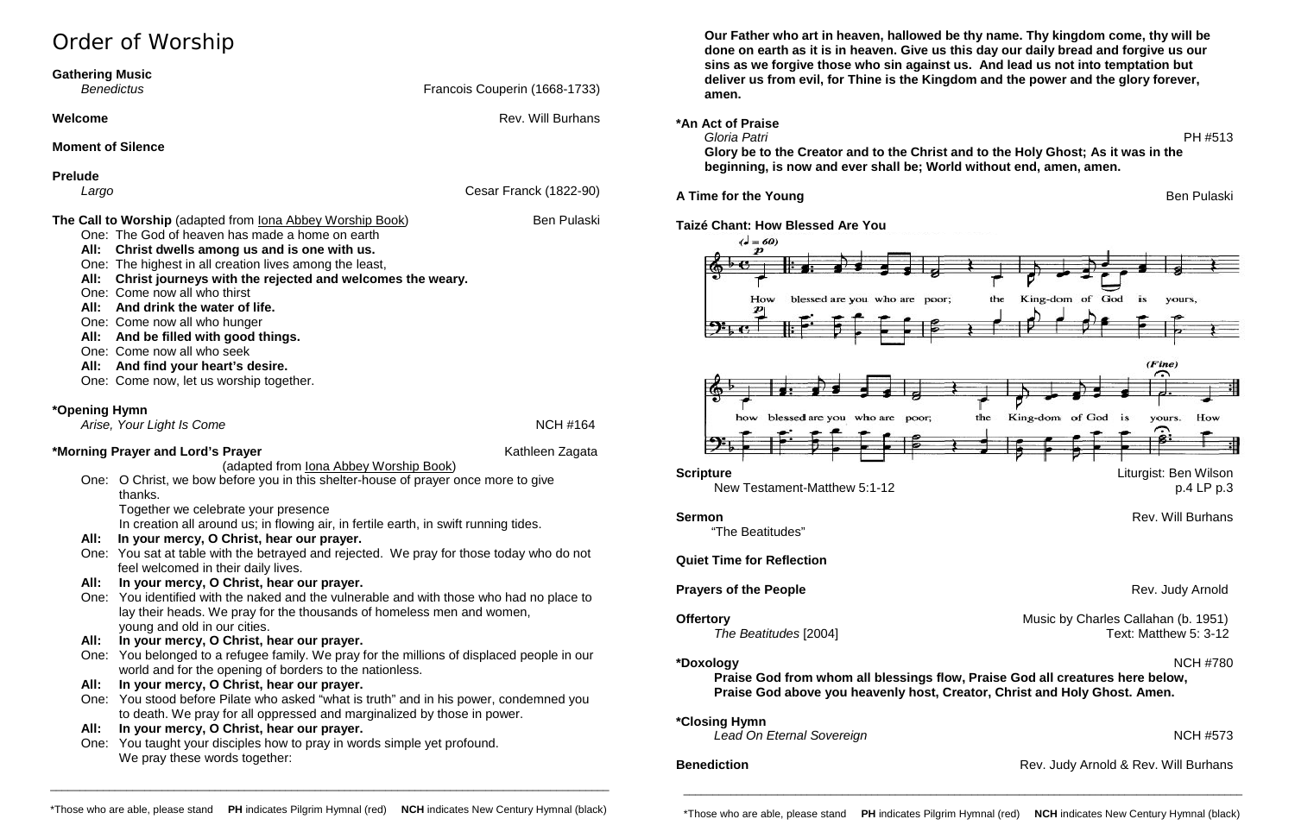# Order of Worship **Gathering Music Benedictus Example 2018 Benedictus Francois Couperin (1668-1733) Welcome Rev. Will Burhans Moment of Silence Prelude** *Largo* Cesar Franck (1822-90) **The Call to Worship** (adapted from Iona Abbey Worship Book) Ben Pulaski One: The God of heaven has made a home on earth **All: Christ dwells among us and is one with us.** One: The highest in all creation lives among the least, **All: Christ journeys with the rejected and welcomes the weary.** One: Come now all who thirst **All: And drink the water of life.** One: Come now all who hunger **All: And be filled with good things.** One: Come now all who seek **All: And find your heart's desire.** One: Come now, let us worship together. **\*Opening Hymn** *Arise, Your Light Is Come* NCH #164 **\*Morning Prayer and Lord's Prayer** Mathleen Zagata Kathleen Zagata (adapted from Iona Abbey Worship Book) One: O Christ, we bow before you in this shelter-house of prayer once more to give thanks. Together we celebrate your presence In creation all around us; in flowing air, in fertile earth, in swift running tides. **All: In your mercy, O Christ, hear our prayer.**

One: You taught your disciples how to pray in words simple yet profound. We pray these words together:

One: You sat at table with the betrayed and rejected. We pray for those today who do not feel welcomed in their daily lives.

### **All: In your mercy, O Christ, hear our prayer.**

**\*Closing Hymn Lead On Eternal Sovereign** NCH #573

- One: You identified with the naked and the vulnerable and with those who had no place to lay their heads. We pray for the thousands of homeless men and women, young and old in our cities.
- **All: In your mercy, O Christ, hear our prayer.**
- One: You belonged to a refugee family. We pray for the millions of displaced people in our world and for the opening of borders to the nationless.
- **All: In your mercy, O Christ, hear our prayer.**
- One: You stood before Pilate who asked "what is truth" and in his power, condemned you to death. We pray for all oppressed and marginalized by those in power.

#### **All: In your mercy, O Christ, hear our prayer.**

**Our Father who art in heaven, hallowed be thy name. Thy kingdom come, thy will be done on earth as it is in heaven. Give us this day our daily bread and forgive us our sins as we forgive those who sin against us. And lead us not into temptation but deliver us from evil, for Thine is the Kingdom and the power and the glory forever, amen.**

**\*An Act of Praise**

 *Gloria Patri* PH #513 **Glory be to the Creator and to the Christ and to the Holy Ghost; As it was in the beginning, is now and ever shall be; World without end, amen, amen.**

### **A Time for the Young Ben Pullaski Ben Pullaski Ben Pullaski Ben Pullaski**

### **Taizé Chant: How Blessed Are You**





New Testament-Matthew 5:1-12 p.4 LP p.3

"The Beatitudes"

**Quiet Time for Reflection**

### **Prayers of the People Rev. Judy Arnold**

*The Beatitudes* [2004]

**\*Doxology** NCH #780 **Praise God from whom all blessings flow, Praise God all creatures here below, Praise God above you heavenly host, Creator, Christ and Holy Ghost. Amen.**

\_\_\_\_\_\_\_\_\_\_\_\_\_\_\_\_\_\_\_\_\_\_\_\_\_\_\_\_\_\_\_\_\_\_\_\_\_\_\_\_\_\_\_\_\_\_\_\_\_\_\_\_\_\_\_\_\_\_\_\_\_\_\_\_\_\_\_\_\_\_\_\_\_\_\_\_\_\_\_\_\_\_\_\_\_\_\_\_\_\_\_\_\_\_\_

**Sermon** Rev. Will Burhans

**Offertory**<br>
The Beatitudes [2004] Music by Charles Callahan (b. 1951)<br>
Text: Matthew 5: 3-12

**Benediction Benediction Rev. Judy Arnold & Rev. Will Burhans** 

\_\_\_\_\_\_\_\_\_\_\_\_\_\_\_\_\_\_\_\_\_\_\_\_\_\_\_\_\_\_\_\_\_\_\_\_\_\_\_\_\_\_\_\_\_\_\_\_\_\_\_\_\_\_\_\_\_\_\_\_\_\_\_\_\_\_\_\_\_\_\_\_\_\_\_\_\_\_\_\_\_\_\_\_\_\_\_\_\_\_\_\_\_\_\_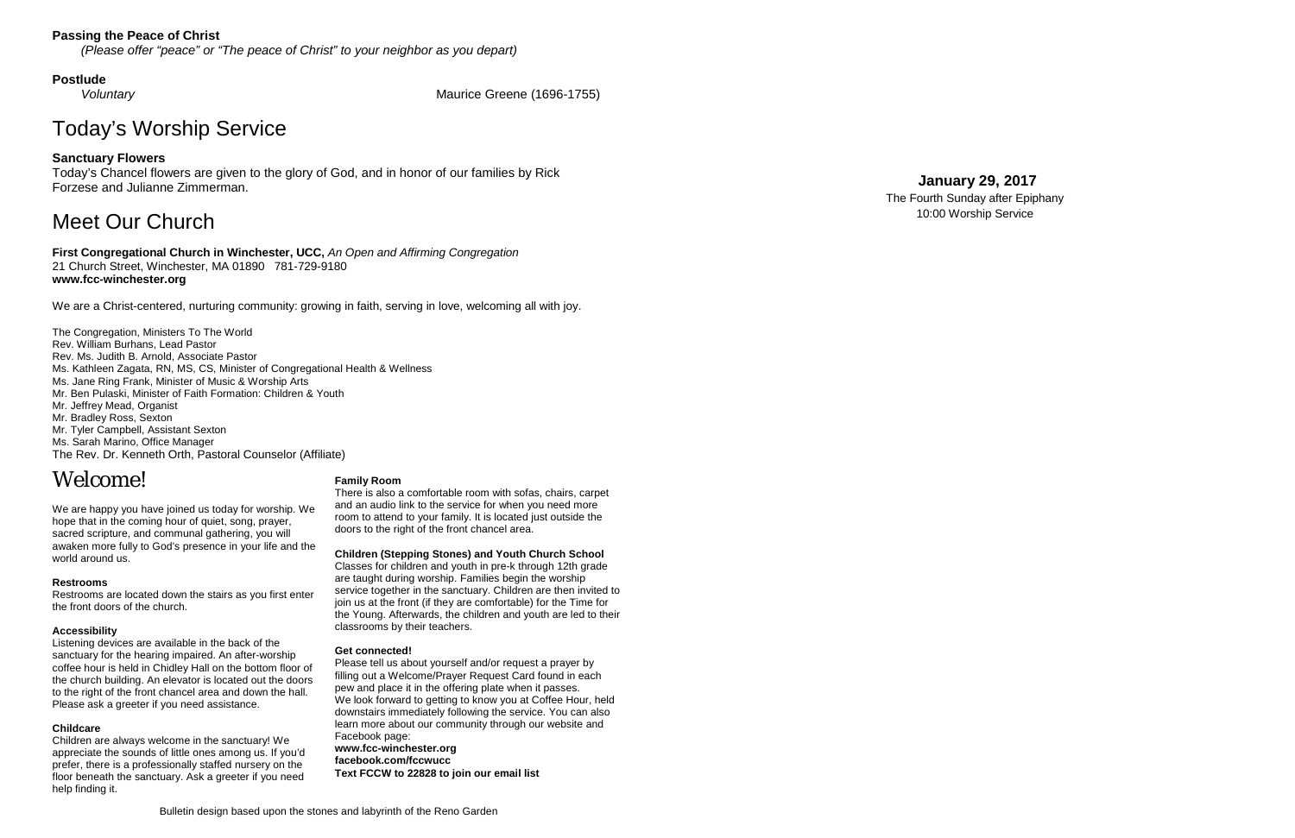### **Passing the Peace of Christ**

*(Please offer "peace" or " The peace of Christ" to your neighbor as you depart)*

#### **Postlude**

*Voluntary* Maurice Greene (1696 -1755)

# Today's Worship Service

#### **Sanctuary Flowers**

Today's Chancel flowers are given to the glory of God, and in honor of our families by Rick Forzese and Julianne Zimmerman.

# Meet Our Church

**First Congregational Church in Winchester, UCC,** *An Open and Affirming Congregation* 21 Church Street, Winchester, MA 01890 781 -729 -9180 **www.fcc -winchester.org**

We are a Christ -centered, nurturing community: growing in faith, serving in love, welcoming all with joy.

The Congregation, Ministers To The World Rev. William Burhans, Lead Pastor Rev. Ms. Judith B. Arnold, Associate Pastor Ms. Kathleen Zagata, RN, MS, CS, Minister of Congregational Health & Wellness Ms. Jane Ring Frank, Minister of Music & Worship Arts Mr. Ben Pulaski, Minister of Faith Formation: Children & Youth Mr. Jeffrey Mead, Organist Mr. Bradley Ross, Sexton Mr. Tyler Campbell, Assistant Sexton Ms. Sarah Marino, Office Manager The Rev. Dr. Kenneth Orth, Pastoral Counselor (Affiliate)

# Welcome!

We are happy you have joined us today for worship. We hope that in the coming hour of quiet, song, prayer, sacred scripture, and communal gathering, you will awaken more fully to God's presence in your life and the world around us.

#### **Restrooms**

Restrooms are located down the stairs as you first enter the front doors of the church.

#### **Accessibility**

Listening devices are available in the back of the sanctuary for the hearing impaired. An after -worship coffee hour is held in Chidley Hall on the bottom floor of the church building. An elevator is located out the doors to the right of the front chancel area and down the hall. Please ask a greeter if you need assistance.

#### **Childcare**

Children are always welcome in the sanctuary! We appreciate the sounds of little ones among us. If you'd prefer, there is a professionally staffed nursery on the floor beneath the sanctuary. Ask a greeter if you need help finding it.

#### **Family Room**

There is also a comfortable room with sofas, chairs, carpet and an audio link to the service for when you need more room to attend to your family. It is located just outside the doors to the right of the front chancel area.

**Children (Stepping Stones) and Youth Church School**

Classes for children and youth in pre -k through 12th grade are taught during worship. Families begin the worship service together in the sanctuary. Children are then invited to join us at the front (if they are comfortable) for the Time for the Young. Afterwards, the children and youth are led to their classrooms by their teachers.

#### **Get connected!**

Please tell us about yourself and/or request a prayer by filling out a Welcome/Prayer Request Card found in each pew and place it in the offering plate when it passes. We look forward to getting to know you at Coffee Hour, held downstairs immediately following the service. You can also learn more about our community through our website and Facebook page: **www.fcc -winchester.org facebook.com/fccwucc**

**Text FCCW to 22828 to join our email list**

## **January 2 9 , 2017**

The Fourth Sunday after Epiphany 10:00 Worship Service